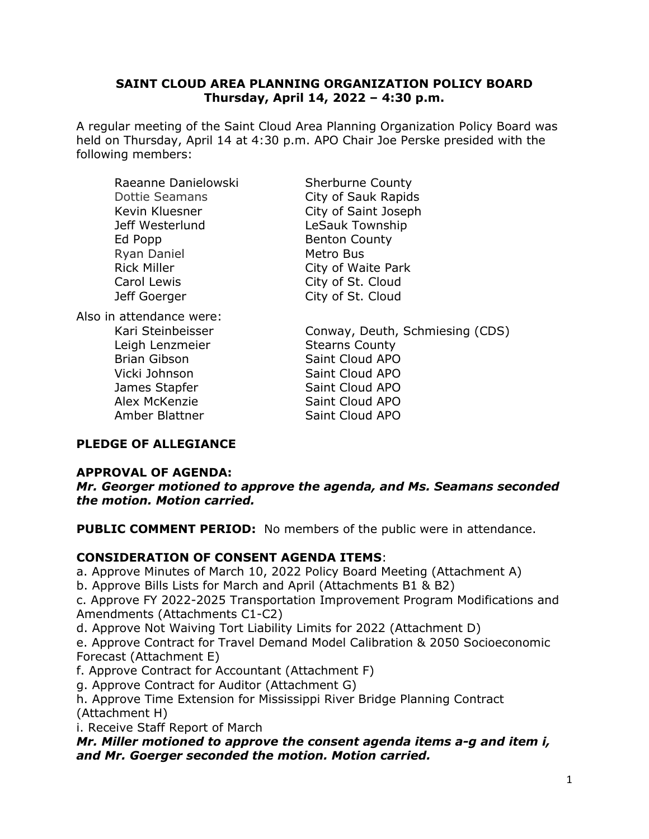### **SAINT CLOUD AREA PLANNING ORGANIZATION POLICY BOARD Thursday, April 14, 2022 – 4:30 p.m.**

A regular meeting of the Saint Cloud Area Planning Organization Policy Board was held on Thursday, April 14 at 4:30 p.m. APO Chair Joe Perske presided with the following members:

| Raeanne Danielowski      | <b>Sherburne County</b>         |
|--------------------------|---------------------------------|
| <b>Dottie Seamans</b>    | City of Sauk Rapids             |
| Kevin Kluesner           | City of Saint Joseph            |
| Jeff Westerlund          | LeSauk Township                 |
| Ed Popp                  | <b>Benton County</b>            |
| Ryan Daniel              | Metro Bus                       |
| <b>Rick Miller</b>       | City of Waite Park              |
| Carol Lewis              | City of St. Cloud               |
| Jeff Goerger             | City of St. Cloud               |
| Also in attendance were: |                                 |
| Kari Steinbeisser        | Conway, Deuth, Schmiesing (CDS) |
| Leigh Lenzmeier          | <b>Stearns County</b>           |
| <b>Brian Gibson</b>      | Saint Cloud APO                 |
| Vicki Johnson            | Saint Cloud APO                 |
| James Stapfer            | Saint Cloud APO                 |
| Alex McKenzie            | Saint Cloud APO                 |
| Amber Blattner           | Saint Cloud APO                 |

# **PLEDGE OF ALLEGIANCE**

### **APPROVAL OF AGENDA:**

*Mr. Georger motioned to approve the agenda, and Ms. Seamans seconded the motion. Motion carried.* 

**PUBLIC COMMENT PERIOD:** No members of the public were in attendance.

# **CONSIDERATION OF CONSENT AGENDA ITEMS**:

a. Approve Minutes of March 10, 2022 Policy Board Meeting (Attachment A)

b. Approve Bills Lists for March and April (Attachments B1 & B2)

c. Approve FY 2022-2025 Transportation Improvement Program Modifications and Amendments (Attachments C1-C2)

d. Approve Not Waiving Tort Liability Limits for 2022 (Attachment D)

e. Approve Contract for Travel Demand Model Calibration & 2050 Socioeconomic Forecast (Attachment E)

f. Approve Contract for Accountant (Attachment F)

g. Approve Contract for Auditor (Attachment G)

h. Approve Time Extension for Mississippi River Bridge Planning Contract (Attachment H)

i. Receive Staff Report of March

*Mr. Miller motioned to approve the consent agenda items a-g and item i, and Mr. Goerger seconded the motion. Motion carried.*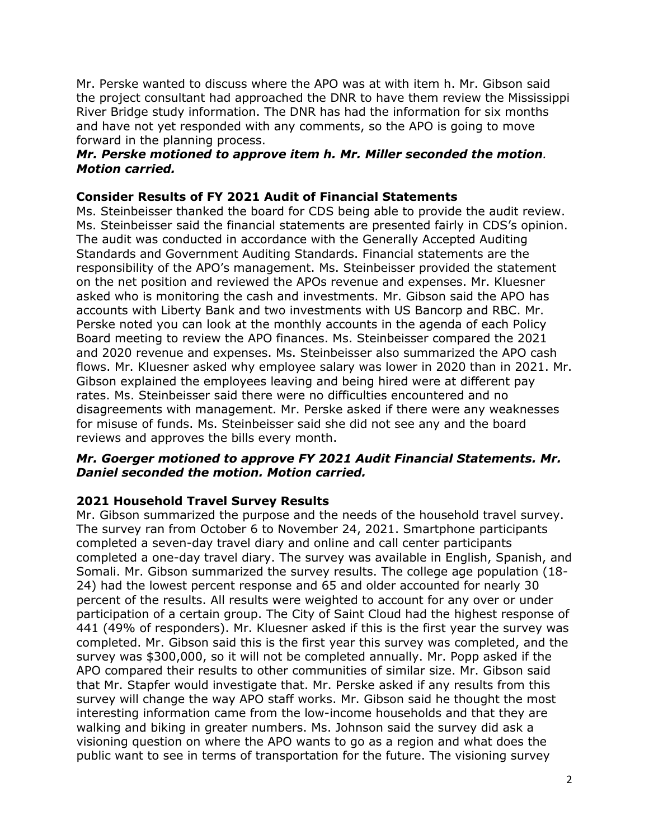Mr. Perske wanted to discuss where the APO was at with item h. Mr. Gibson said the project consultant had approached the DNR to have them review the Mississippi River Bridge study information. The DNR has had the information for six months and have not yet responded with any comments, so the APO is going to move forward in the planning process.

# *Mr. Perske motioned to approve item h. Mr. Miller seconded the motion. Motion carried.*

## **Consider Results of FY 2021 Audit of Financial Statements**

Ms. Steinbeisser thanked the board for CDS being able to provide the audit review. Ms. Steinbeisser said the financial statements are presented fairly in CDS's opinion. The audit was conducted in accordance with the Generally Accepted Auditing Standards and Government Auditing Standards. Financial statements are the responsibility of the APO's management. Ms. Steinbeisser provided the statement on the net position and reviewed the APOs revenue and expenses. Mr. Kluesner asked who is monitoring the cash and investments. Mr. Gibson said the APO has accounts with Liberty Bank and two investments with US Bancorp and RBC. Mr. Perske noted you can look at the monthly accounts in the agenda of each Policy Board meeting to review the APO finances. Ms. Steinbeisser compared the 2021 and 2020 revenue and expenses. Ms. Steinbeisser also summarized the APO cash flows. Mr. Kluesner asked why employee salary was lower in 2020 than in 2021. Mr. Gibson explained the employees leaving and being hired were at different pay rates. Ms. Steinbeisser said there were no difficulties encountered and no disagreements with management. Mr. Perske asked if there were any weaknesses for misuse of funds. Ms. Steinbeisser said she did not see any and the board reviews and approves the bills every month.

### *Mr. Goerger motioned to approve FY 2021 Audit Financial Statements. Mr. Daniel seconded the motion. Motion carried.*

# **2021 Household Travel Survey Results**

Mr. Gibson summarized the purpose and the needs of the household travel survey. The survey ran from October 6 to November 24, 2021. Smartphone participants completed a seven-day travel diary and online and call center participants completed a one-day travel diary. The survey was available in English, Spanish, and Somali. Mr. Gibson summarized the survey results. The college age population (18- 24) had the lowest percent response and 65 and older accounted for nearly 30 percent of the results. All results were weighted to account for any over or under participation of a certain group. The City of Saint Cloud had the highest response of 441 (49% of responders). Mr. Kluesner asked if this is the first year the survey was completed. Mr. Gibson said this is the first year this survey was completed, and the survey was \$300,000, so it will not be completed annually. Mr. Popp asked if the APO compared their results to other communities of similar size. Mr. Gibson said that Mr. Stapfer would investigate that. Mr. Perske asked if any results from this survey will change the way APO staff works. Mr. Gibson said he thought the most interesting information came from the low-income households and that they are walking and biking in greater numbers. Ms. Johnson said the survey did ask a visioning question on where the APO wants to go as a region and what does the public want to see in terms of transportation for the future. The visioning survey